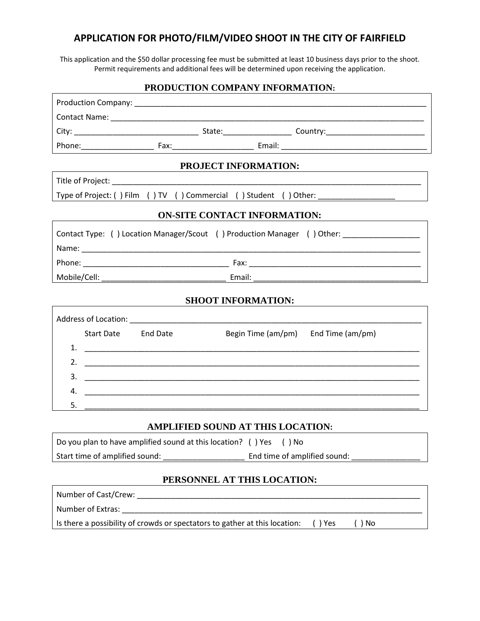## **APPLICATION FOR PHOTO/FILM/VIDEO SHOOT IN THE CITY OF FAIRFIELD**

This application and the \$50 dollar processing fee must be submitted at least 10 business days prior to the shoot. Permit requirements and additional fees will be determined upon receiving the application.

#### **PRODUCTION COMPANY INFORMATION:**

|                                     |                     | PROJECT INFORMATION:                                                                                                  |                                                                                         |  |
|-------------------------------------|---------------------|-----------------------------------------------------------------------------------------------------------------------|-----------------------------------------------------------------------------------------|--|
|                                     |                     |                                                                                                                       |                                                                                         |  |
|                                     |                     |                                                                                                                       | Type of Project: () Film () TV () Commercial () Student () Other: _______________       |  |
| <b>ON-SITE CONTACT INFORMATION:</b> |                     |                                                                                                                       |                                                                                         |  |
|                                     |                     |                                                                                                                       | Contact Type: () Location Manager/Scout () Production Manager () Other: _______________ |  |
|                                     |                     |                                                                                                                       |                                                                                         |  |
|                                     |                     |                                                                                                                       |                                                                                         |  |
| <b>SHOOT INFORMATION:</b>           |                     |                                                                                                                       |                                                                                         |  |
|                                     |                     |                                                                                                                       |                                                                                         |  |
|                                     | Start Date End Date | Begin Time (am/pm) End Time (am/pm)                                                                                   |                                                                                         |  |
|                                     |                     |                                                                                                                       |                                                                                         |  |
|                                     |                     |                                                                                                                       |                                                                                         |  |
|                                     |                     |                                                                                                                       |                                                                                         |  |
| 4.                                  |                     | <u> 1989 - Johann Harry Harry Harry Harry Harry Harry Harry Harry Harry Harry Harry Harry Harry Harry Harry Harry</u> |                                                                                         |  |
| 5.                                  |                     |                                                                                                                       |                                                                                         |  |
| AMPLIFIED SOUND AT THIS LOCATION:   |                     |                                                                                                                       |                                                                                         |  |
|                                     |                     |                                                                                                                       |                                                                                         |  |

Do you plan to have amplified sound at this location? ( ) Yes ( ) No Start time of amplified sound: \_\_\_\_\_\_\_\_\_\_\_\_\_\_\_\_\_\_\_ End time of amplified sound: \_\_\_\_\_\_\_\_\_\_\_\_\_\_\_\_

## **PERSONNEL AT THIS LOCATION:**

| Number of Cast/Crew:                                                       |       |    |
|----------------------------------------------------------------------------|-------|----|
| Number of Extras:                                                          |       |    |
| Is there a possibility of crowds or spectators to gather at this location: | ) Yes | No |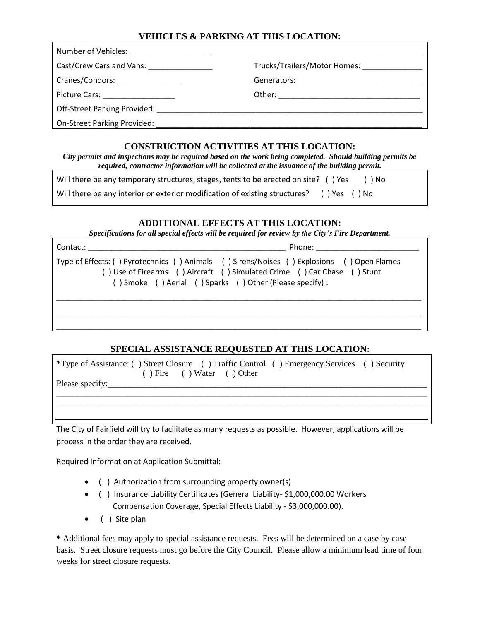## **VEHICLES & PARKING AT THIS LOCATION:**

| Number of Vehicles: Number of Vehicles:                  |  |  |  |
|----------------------------------------------------------|--|--|--|
| Cast/Crew Cars and Vans:<br>Trucks/Trailers/Motor Homes: |  |  |  |
| Cranes/Condors: ________________                         |  |  |  |
| Picture Cars: ___________________                        |  |  |  |
| Off-Street Parking Provided: _________                   |  |  |  |
| On-Street Parking Provided:                              |  |  |  |

#### **CONSTRUCTION ACTIVITIES AT THIS LOCATION:**

*City permits and inspections may be required based on the work being completed. Should building permits be required, contractor information will be collected at the issuance of the building permit.*

| Will there be any temporary structures, stages, tents to be erected on site? () Yes      | () No |
|------------------------------------------------------------------------------------------|-------|
| Will there be any interior or exterior modification of existing structures? () Yes () No |       |

#### **ADDITIONAL EFFECTS AT THIS LOCATION:**

*Specifications for all special effects will be required for review by the City's Fire Department.*

| Contact: | Phone: The control                                                                                                                                                                                                               |  |
|----------|----------------------------------------------------------------------------------------------------------------------------------------------------------------------------------------------------------------------------------|--|
|          | Type of Effects: () Pyrotechnics () Animals () Sirens/Noises () Explosions () Open Flames<br>() Use of Firearms () Aircraft () Simulated Crime () Car Chase () Stunt<br>() Smoke () Aerial () Sparks () Other (Please specify) : |  |
|          |                                                                                                                                                                                                                                  |  |

### **SPECIAL ASSISTANCE REQUESTED AT THIS LOCATION:**

| *Type of Assistance: () Street Closure () Traffic Control () Emergency Services () Security<br>$( )$ Fire $( )$ Water $( )$ Other |
|-----------------------------------------------------------------------------------------------------------------------------------|
|                                                                                                                                   |
|                                                                                                                                   |

The City of Fairfield will try to facilitate as many requests as possible. However, applications will be process in the order they are received.

Required Information at Application Submittal:

- ( ) Authorization from surrounding property owner(s)
- ( ) Insurance Liability Certificates (General Liability- \$1,000,000.00 Workers Compensation Coverage, Special Effects Liability - \$3,000,000.00).
- ( ) Site plan

\* Additional fees may apply to special assistance requests. Fees will be determined on a case by case basis. Street closure requests must go before the City Council. Please allow a minimum lead time of four weeks for street closure requests.